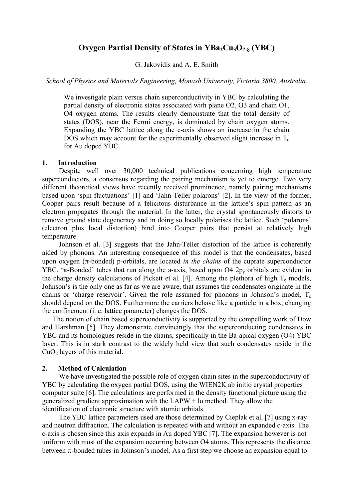# **Oxygen Partial Density of States in YBa<sub>2</sub>Cu<sub>3</sub>O<sub>7-δ</sub> (YBC)**

G. Jakovidis and A. E. Smith

*School of Physics and Materials Engineering, Monash University, Victoria 3800, Australia.* 

We investigate plain versus chain superconductivity in YBC by calculating the partial density of electronic states associated with plane O2, O3 and chain O1, O4 oxygen atoms. The results clearly demonstrate that the total density of states (DOS), near the Fermi energy, is dominated by chain oxygen atoms. Expanding the YBC lattice along the c-axis shows an increase in the chain DOS which may account for the experimentally observed slight increase in  $T_c$ for Au doped YBC.

### **1. Introduction**

 Despite well over 30,000 technical publications concerning high temperature superconductors, a consensus regarding the pairing mechanism is yet to emerge. Two very different theoretical views have recently received prominence, namely pairing mechanisms based upon 'spin fluctuations' [1] and 'Jahn-Teller polarons' [2]. In the view of the former, Cooper pairs result because of a felicitous disturbance in the lattice's spin pattern as an electron propagates through the material. In the latter, the crystal spontaneously distorts to remove ground state degeneracy and in doing so locally polarises the lattice. Such 'polarons' (electron plus local distortion) bind into Cooper pairs that persist at relatively high temperature.

Johnson et al. [3] suggests that the Jahn-Teller distortion of the lattice is coherently aided by phonons. An interesting consequence of this model is that the condensates, based upon oxygen (π-bonded) p-orbitals, are located *in the chains* of the cuprate superconductor YBC. 'π-Bonded' tubes that run along the a-axis, based upon O4  $2p_y$  orbitals are evident in the charge density calculations of Pickett et al. [4]. Among the plethora of high  $T_c$  models, Johnson's is the only one as far as we are aware, that assumes the condensates originate in the chains or 'charge reservoir'. Given the role assumed for phonons in Johnson's model,  $T_c$ should depend on the DOS. Furthermore the carriers behave like a particle in a box, changing the confinement (i. e. lattice parameter) changes the DOS.

The notion of chain based superconductivity is supported by the compelling work of Dow and Harshman [5]. They demonstrate convincingly that the superconducting condensates in YBC and its homologues reside in the chains, specifically in the Ba-apical oxygen (O4) YBC layer. This is in stark contrast to the widely held view that such condensates reside in the CuO2 layers of this material.

## **2. Method of Calculation**

 We have investigated the possible role of oxygen chain sites in the superconductivity of YBC by calculating the oxygen partial DOS, using the WIEN2K ab initio crystal properties computer suite [6]. The calculations are performed in the density functional picture using the generalized gradient approximation with the LAPW + lo method. They allow the identification of electronic structure with atomic orbitals.

The YBC lattice parameters used are those determined by Cieplak et al. [7] using x-ray and neutron diffraction. The calculation is repeated with and without an expanded c-axis. The c-axis is chosen since this axis expands in Au doped YBC [7]. The expansion however is not uniform with most of the expansion occurring between O4 atoms. This represents the distance between  $\pi$ -bonded tubes in Johnson's model. As a first step we choose an expansion equal to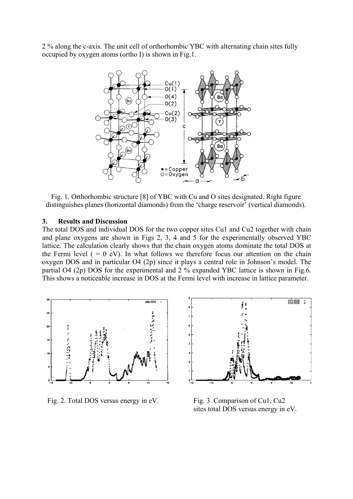2 % along the c-axis. The unit cell of orthorhombic YBC with alternating chain sites fully occupied by oxygen atoms (ortho I) is shown in Fig.1.



Fig. 1. Orthorhombic structure [8] of YBC with Cu and O sites designated. Right figure distinguishes planes (horizontal diamonds) from the 'charge reservoir' (vertical diamonds).

#### **3. Results and Discussion**

The total DOS and individual DOS for the two copper sites Cu1 and Cu2 together with chain and plane oxygens are shown in Figs 2, 3, 4 and 5 for the experimentally observed YBC lattice. The calculation clearly shows that the chain oxygen atoms dominate the total DOS at the Fermi level  $( = 0 eV)$ . In what follows we therefore focus our attention on the chain oxygen DOS and in particular O4 (2p) since it plays a central role in Johnson's model. The partial O4 (2p) DOS for the experimental and 2 % expanded YBC lattice is shown in Fig.6. This shows a noticeable increase in DOS at the Fermi level with increase in lattice parameter.



Fig. 2. Total DOS versus energy in eV. Fig. 3. Comparison of Cu1, Cu2



sites total DOS versus energy in eV.